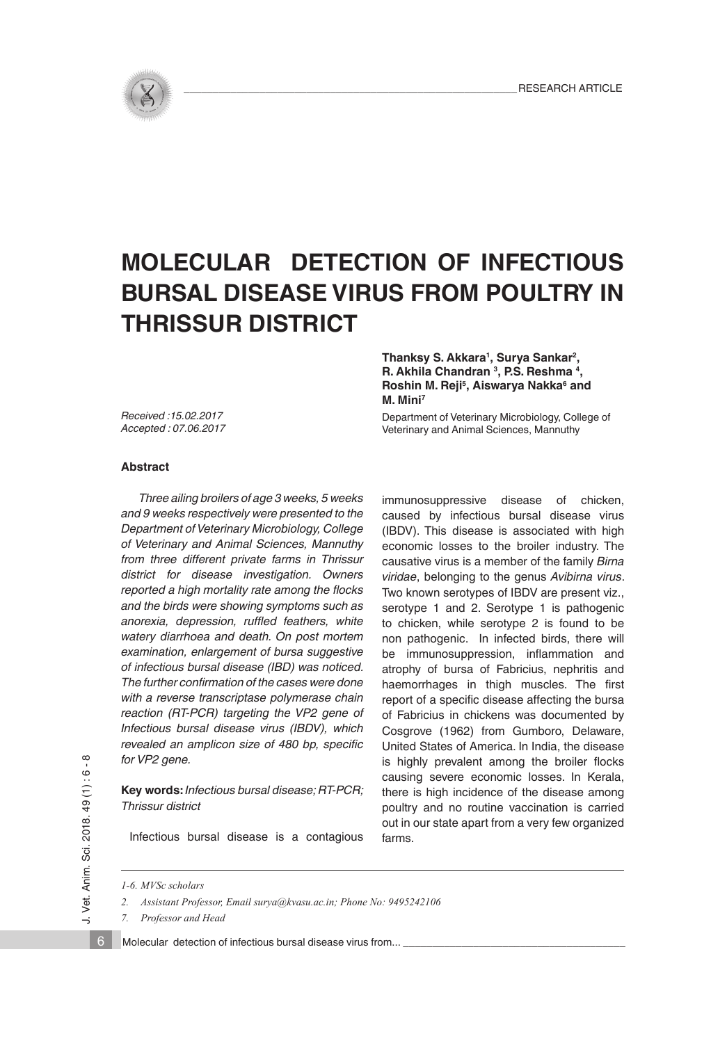

# **MOLECULAR DETECTION OF INFECTIOUS BURSAL DISEASE VIRUS FROM POULTRY IN THRISSUR DISTRICT**

*Received :15.02.2017 Accepted : 07.06.2017* **Thanksy S. Akkara1, Surya Sankar2, R. Akhila Chandran 3, P.S. Reshma 4,**  Roshin M. Reji<sup>5</sup>, Aiswarya Nakka<sup>6</sup> and **M. Mini7**

Department of Veterinary Microbiology, College of Veterinary and Animal Sciences, Mannuthy

## **Abstract**

 *Three ailing broilers of age 3 weeks, 5 weeks and 9 weeks respectively were presented to the Department of Veterinary Microbiology, College of Veterinary and Animal Sciences, Mannuthy from three different private farms in Thrissur district for disease investigation. Owners reported a high mortality rate among the flocks and the birds were showing symptoms such as anorexia, depression, ruffled feathers, white watery diarrhoea and death. On post mortem examination, enlargement of bursa suggestive of infectious bursal disease (IBD) was noticed. The further confirmation of the cases were done with a reverse transcriptase polymerase chain reaction (RT-PCR) targeting the VP2 gene of Infectious bursal disease virus (IBDV), which revealed an amplicon size of 480 bp, specific for VP2 gene.* 

**Key words:** *Infectious bursal disease; RT-PCR; Thrissur district* 

immunosuppressive disease of chicken, caused by infectious bursal disease virus (IBDV). This disease is associated with high economic losses to the broiler industry. The causative virus is a member of the family *Birna viridae*, belonging to the genus *Avibirna virus*. Two known serotypes of IBDV are present viz., serotype 1 and 2. Serotype 1 is pathogenic to chicken, while serotype 2 is found to be non pathogenic. In infected birds, there will be immunosuppression, inflammation and atrophy of bursa of Fabricius, nephritis and haemorrhages in thigh muscles. The first report of a specific disease affecting the bursa of Fabricius in chickens was documented by Cosgrove (1962) from Gumboro, Delaware, United States of America. In India, the disease is highly prevalent among the broiler flocks causing severe economic losses. In Kerala, there is high incidence of the disease among poultry and no routine vaccination is carried out in our state apart from a very few organized farms.

Infectious bursal disease is a contagious

*1-6. MVSc scholars*

*7. Professor and Head* 

Molecular detection of infectious bursal disease virus from...

6

*<sup>2.</sup> Assistant Professor, Email surya@kvasu.ac.in; Phone No: 9495242106*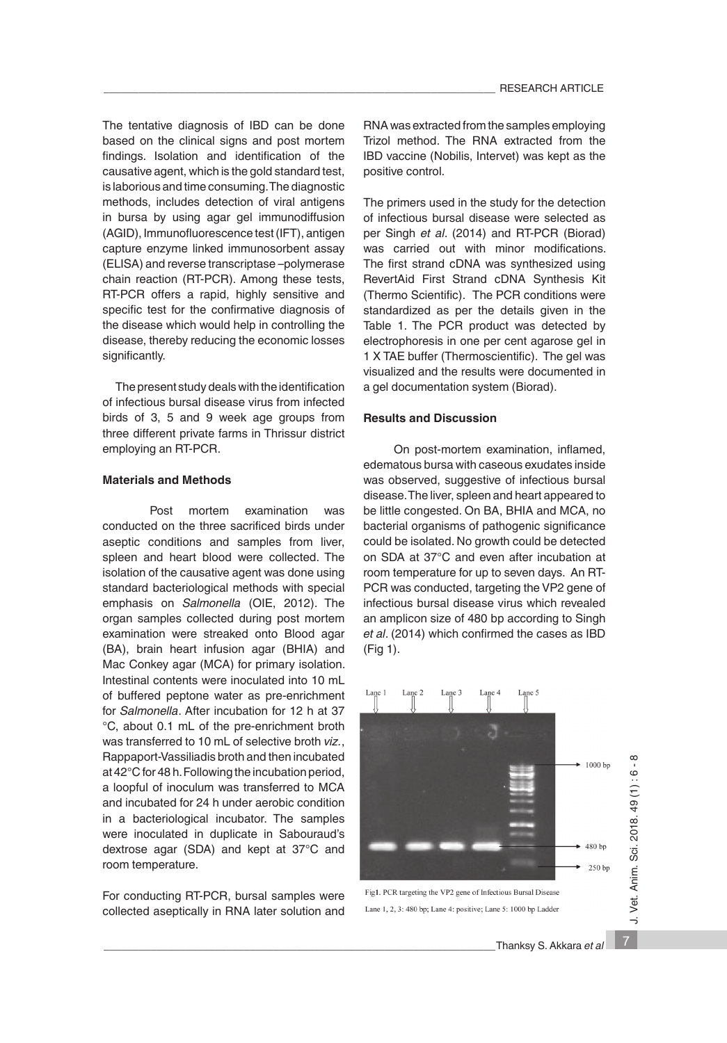The tentative diagnosis of IBD can be done based on the clinical signs and post mortem findings. Isolation and identification of the causative agent, which is the gold standard test, is laborious and time consuming. The diagnostic methods, includes detection of viral antigens in bursa by using agar gel immunodiffusion (AGID), Immunofluorescence test (IFT), antigen capture enzyme linked immunosorbent assay (ELISA) and reverse transcriptase –polymerase chain reaction (RT-PCR). Among these tests, RT-PCR offers a rapid, highly sensitive and specific test for the confirmative diagnosis of the disease which would help in controlling the disease, thereby reducing the economic losses significantly.

 The present study deals with the identification of infectious bursal disease virus from infected birds of 3, 5 and 9 week age groups from three different private farms in Thrissur district employing an RT-PCR.

#### **Materials and Methods**

Post mortem examination was conducted on the three sacrificed birds under aseptic conditions and samples from liver, spleen and heart blood were collected. The isolation of the causative agent was done using standard bacteriological methods with special emphasis on *Salmonella* (OIE, 2012). The organ samples collected during post mortem examination were streaked onto Blood agar (BA), brain heart infusion agar (BHIA) and Mac Conkey agar (MCA) for primary isolation. Intestinal contents were inoculated into 10 mL of buffered peptone water as pre-enrichment for *Salmonella*. After incubation for 12 h at 37 °C, about 0.1 mL of the pre-enrichment broth was transferred to 10 mL of selective broth *viz.*, Rappaport-Vassiliadis broth and then incubated at 42°C for 48 h. Following the incubation period, a loopful of inoculum was transferred to MCA and incubated for 24 h under aerobic condition in a bacteriological incubator. The samples were inoculated in duplicate in Sabouraud's dextrose agar (SDA) and kept at 37°C and room temperature.

For conducting RT-PCR, bursal samples were collected aseptically in RNA later solution and RNA was extracted from the samples employing Trizol method. The RNA extracted from the IBD vaccine (Nobilis, Intervet) was kept as the positive control.

The primers used in the study for the detection of infectious bursal disease were selected as per Singh *et al*. (2014) and RT-PCR (Biorad) was carried out with minor modifications. The first strand cDNA was synthesized using RevertAid First Strand cDNA Synthesis Kit (Thermo Scientific).The PCR conditions were standardized as per the details given in the Table 1. The PCR product was detected by electrophoresis in one per cent agarose gel in 1 X TAE buffer (Thermoscientific). The gel was visualized and the results were documented in a gel documentation system (Biorad).

#### **Results and Discussion**

 On post-mortem examination, inflamed, edematous bursa with caseous exudates inside was observed, suggestive of infectious bursal disease. The liver, spleen and heart appeared to be little congested. On BA, BHIA and MCA, no bacterial organisms of pathogenic significance could be isolated. No growth could be detected on SDA at 37°C and even after incubation at room temperature for up to seven days. An RT-PCR was conducted, targeting the VP2 gene of infectious bursal disease virus which revealed an amplicon size of 480 bp according to Singh *et al*. (2014) which confirmed the cases as IBD (Fig 1).



Lane 1, 2, 3: 480 bp; Lane 4: positive; Lane 5: 1000 bp Ladder

7

J. Vet. Anim. Sci. 2018. 49 (1) : 6 - 8

J. Vet. Anim. Sci. 2018. 49 (1): 6-